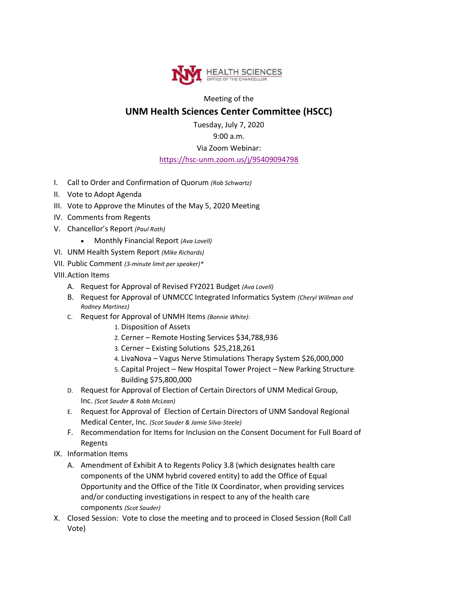

Meeting of the

## **UNM Health Sciences Center Committee (HSCC)**

Tuesday, July 7, 2020

## 9:00 a.m.

Via Zoom Webinar:

## <https://hsc-unm.zoom.us/j/95409094798>

- I. Call to Order and Confirmation of Quorum *(Rob Schwartz)*
- II. Vote to Adopt Agenda
- III. Vote to Approve the Minutes of the May 5, 2020 Meeting
- IV. Comments from Regents
- V. Chancellor's Report *(Paul Roth)*
	- Monthly Financial Report *(Ava Lovell)*
- VI. UNM Health System Report *(Mike Richards)*
- VII. Public Comment *(3-minute limit per speaker)\**
- VIII.Action Items
	- A. Request for Approval of Revised FY2021 Budget *(Ava Lovell)*
	- B. Request for Approval of UNMCCC Integrated Informatics System *(Cheryl Willman and Rodney Martinez)*
	- C. Request for Approval of UNMH Items *(Bonnie White):*
		- 1. Disposition of Assets
		- 2. Cerner Remote Hosting Services \$34,788,936
		- 3. Cerner Existing Solutions \$25,218,261
		- 4. LivaNova Vagus Nerve Stimulations Therapy System \$26,000,000
		- 5. Capital Project New Hospital Tower Project New Parking Structure Building \$75,800,000
	- D. Request for Approval of Election of Certain Directors of UNM Medical Group, Inc. *(Scot Sauder & Robb McLean)*
	- E. Request for Approval of Election of Certain Directors of UNM Sandoval Regional Medical Center, Inc. *(Scot Sauder & Jamie Silva-Steele)*
	- F. Recommendation for Items for Inclusion on the Consent Document for Full Board of Regents
- IX. Information Items
	- A. Amendment of Exhibit A to Regents Policy 3.8 (which designates health care components of the UNM hybrid covered entity) to add the Office of Equal Opportunity and the Office of the Title IX Coordinator, when providing services and/or conducting investigations in respect to any of the health care components *(Scot Sauder)*
- X. Closed Session: Vote to close the meeting and to proceed in Closed Session (Roll Call Vote)